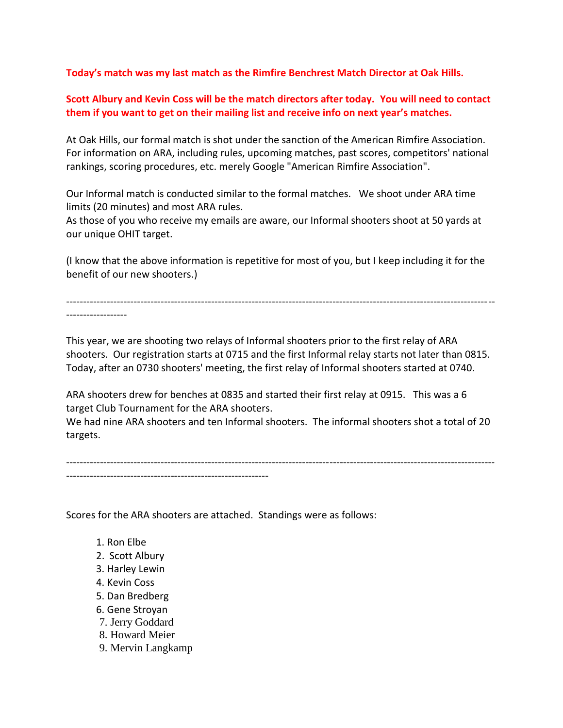**Today's match was my last match as the Rimfire Benchrest Match Director at Oak Hills.**

## **Scott Albury and Kevin Coss will be the match directors after today. You will need to contact them if you want to get on their mailing list and receive info on next year's matches.**

At Oak Hills, our formal match is shot under the sanction of the American Rimfire Association. For information on ARA, including rules, upcoming matches, past scores, competitors' national rankings, scoring procedures, etc. merely Google "American Rimfire Association".

Our Informal match is conducted similar to the formal matches. We shoot under ARA time limits (20 minutes) and most ARA rules.

As those of you who receive my emails are aware, our Informal shooters shoot at 50 yards at our unique OHIT target.

(I know that the above information is repetitive for most of you, but I keep including it for the benefit of our new shooters.)

------------------------------------------------------------------------------------------------------------------------------- ------------------

This year, we are shooting two relays of Informal shooters prior to the first relay of ARA shooters. Our registration starts at 0715 and the first Informal relay starts not later than 0815. Today, after an 0730 shooters' meeting, the first relay of Informal shooters started at 0740.

ARA shooters drew for benches at 0835 and started their first relay at 0915. This was a 6 target Club Tournament for the ARA shooters.

We had nine ARA shooters and ten Informal shooters. The informal shooters shot a total of 20 targets.

------------------------------------------------------------------------------------------------------------------------------- ------------------------------------------------------------

Scores for the ARA shooters are attached. Standings were as follows:

- 1. Ron Elbe
- 2. Scott Albury
- 3. Harley Lewin
- 4. Kevin Coss
- 5. Dan Bredberg
- 6. Gene Stroyan
- 7. Jerry Goddard
- 8. Howard Meier
- 9. Mervin Langkamp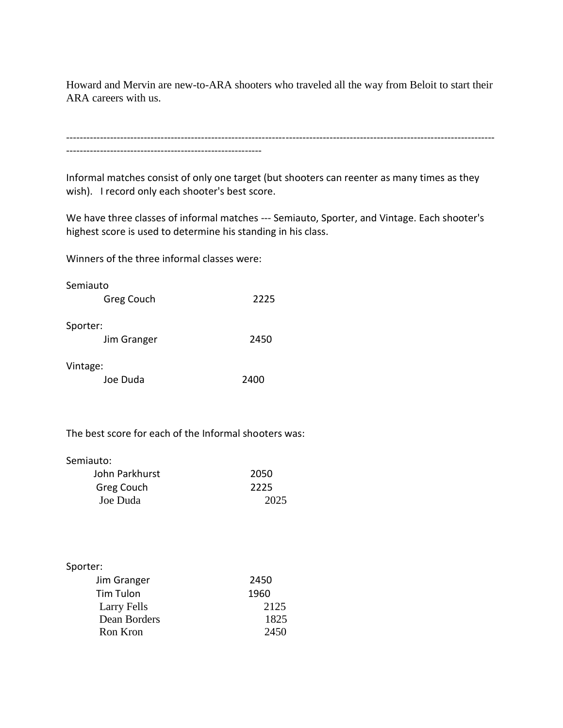Howard and Mervin are new-to-ARA shooters who traveled all the way from Beloit to start their ARA careers with us.

------------------------------------------------------------------------------------------------------------------------------- ----------------------------------------------------------

Informal matches consist of only one target (but shooters can reenter as many times as they wish). I record only each shooter's best score.

We have three classes of informal matches --- Semiauto, Sporter, and Vintage. Each shooter's highest score is used to determine his standing in his class.

Winners of the three informal classes were:

| Semiauto    |      |
|-------------|------|
| Greg Couch  | 2225 |
|             |      |
| Sporter:    |      |
| Jim Granger | 2450 |
|             |      |

Vintage:

| Joe Duda | 2400 |
|----------|------|
|          |      |

The best score for each of the Informal shooters was:

Semiauto:

| John Parkhurst | 2050 |
|----------------|------|
| Greg Couch     | 2225 |
| Joe Duda       | 2025 |

| Sporter:         |      |
|------------------|------|
| Jim Granger      | 2450 |
| <b>Tim Tulon</b> | 1960 |
| Larry Fells      | 2125 |
| Dean Borders     | 1825 |
| Ron Kron         | 2450 |